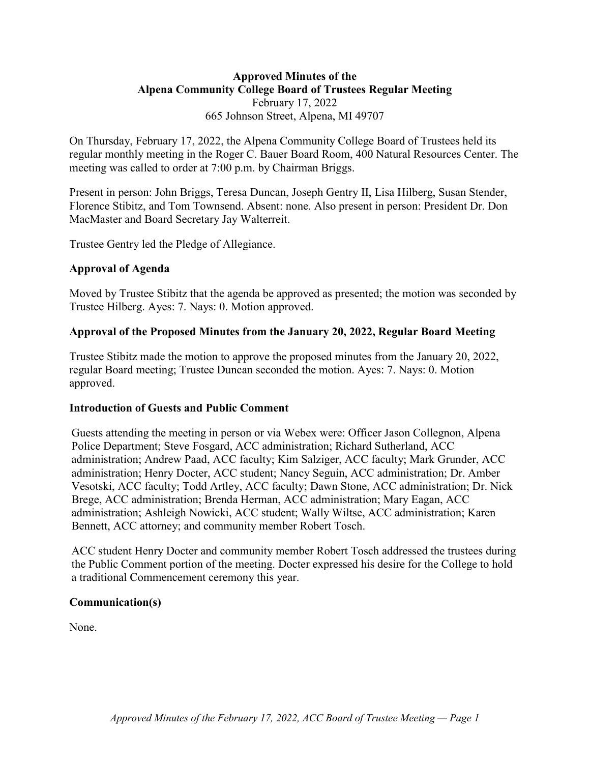# **Approved Minutes of the Alpena Community College Board of Trustees Regular Meeting** February 17, 2022 665 Johnson Street, Alpena, MI 49707

On Thursday, February 17, 2022, the Alpena Community College Board of Trustees held its regular monthly meeting in the Roger C. Bauer Board Room, 400 Natural Resources Center. The meeting was called to order at 7:00 p.m. by Chairman Briggs.

Present in person: John Briggs, Teresa Duncan, Joseph Gentry II, Lisa Hilberg, Susan Stender, Florence Stibitz, and Tom Townsend. Absent: none. Also present in person: President Dr. Don MacMaster and Board Secretary Jay Walterreit.

Trustee Gentry led the Pledge of Allegiance.

### **Approval of Agenda**

Moved by Trustee Stibitz that the agenda be approved as presented; the motion was seconded by Trustee Hilberg. Ayes: 7. Nays: 0. Motion approved.

### **Approval of the Proposed Minutes from the January 20, 2022, Regular Board Meeting**

Trustee Stibitz made the motion to approve the proposed minutes from the January 20, 2022, regular Board meeting; Trustee Duncan seconded the motion. Ayes: 7. Nays: 0. Motion approved.

### **Introduction of Guests and Public Comment**

Guests attending the meeting in person or via Webex were: Officer Jason Collegnon, Alpena Police Department; Steve Fosgard, ACC administration; Richard Sutherland, ACC administration; Andrew Paad, ACC faculty; Kim Salziger, ACC faculty; Mark Grunder, ACC administration; Henry Docter, ACC student; Nancy Seguin, ACC administration; Dr. Amber Vesotski, ACC faculty; Todd Artley, ACC faculty; Dawn Stone, ACC administration; Dr. Nick Brege, ACC administration; Brenda Herman, ACC administration; Mary Eagan, ACC administration; Ashleigh Nowicki, ACC student; Wally Wiltse, ACC administration; Karen Bennett, ACC attorney; and community member Robert Tosch.

ACC student Henry Docter and community member Robert Tosch addressed the trustees during the Public Comment portion of the meeting. Docter expressed his desire for the College to hold a traditional Commencement ceremony this year.

### **Communication(s)**

None.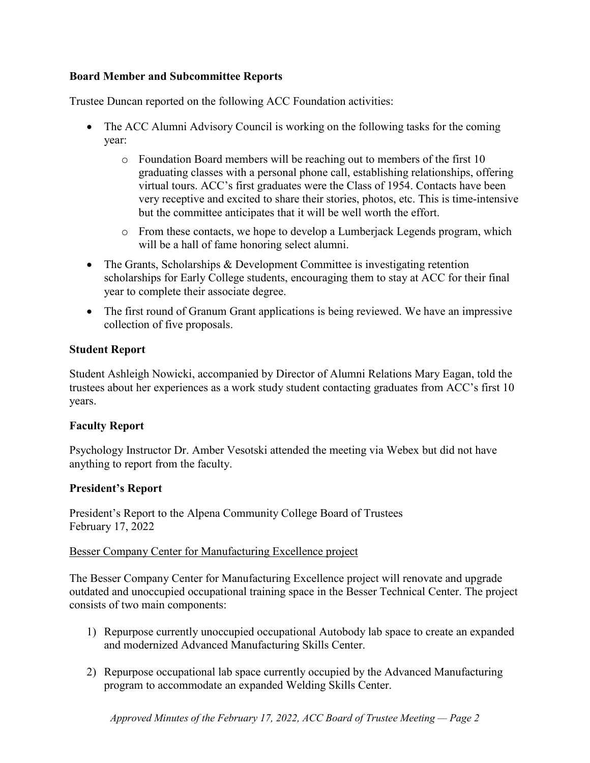## **Board Member and Subcommittee Reports**

Trustee Duncan reported on the following ACC Foundation activities:

- The ACC Alumni Advisory Council is working on the following tasks for the coming year:
	- o Foundation Board members will be reaching out to members of the first 10 graduating classes with a personal phone call, establishing relationships, offering virtual tours. ACC's first graduates were the Class of 1954. Contacts have been very receptive and excited to share their stories, photos, etc. This is time-intensive but the committee anticipates that it will be well worth the effort.
	- o From these contacts, we hope to develop a Lumberjack Legends program, which will be a hall of fame honoring select alumni.
- The Grants, Scholarships & Development Committee is investigating retention scholarships for Early College students, encouraging them to stay at ACC for their final year to complete their associate degree.
- The first round of Granum Grant applications is being reviewed. We have an impressive collection of five proposals.

# **Student Report**

Student Ashleigh Nowicki, accompanied by Director of Alumni Relations Mary Eagan, told the trustees about her experiences as a work study student contacting graduates from ACC's first 10 years.

### **Faculty Report**

Psychology Instructor Dr. Amber Vesotski attended the meeting via Webex but did not have anything to report from the faculty.

# **President's Report**

President's Report to the Alpena Community College Board of Trustees February 17, 2022

### Besser Company Center for Manufacturing Excellence project

The Besser Company Center for Manufacturing Excellence project will renovate and upgrade outdated and unoccupied occupational training space in the Besser Technical Center. The project consists of two main components:

- 1) Repurpose currently unoccupied occupational Autobody lab space to create an expanded and modernized Advanced Manufacturing Skills Center.
- 2) Repurpose occupational lab space currently occupied by the Advanced Manufacturing program to accommodate an expanded Welding Skills Center.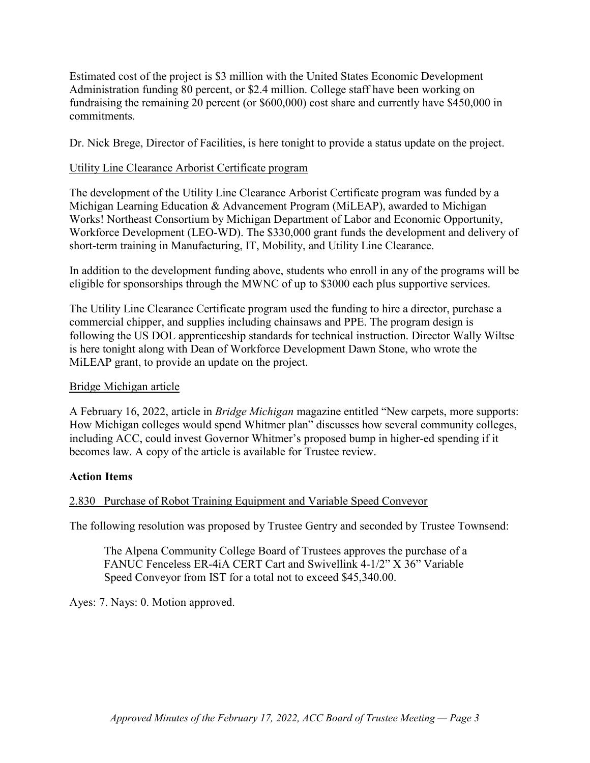Estimated cost of the project is \$3 million with the United States Economic Development Administration funding 80 percent, or \$2.4 million. College staff have been working on fundraising the remaining 20 percent (or \$600,000) cost share and currently have \$450,000 in commitments.

Dr. Nick Brege, Director of Facilities, is here tonight to provide a status update on the project.

## Utility Line Clearance Arborist Certificate program

The development of the Utility Line Clearance Arborist Certificate program was funded by a Michigan Learning Education & Advancement Program (MiLEAP), awarded to Michigan Works! Northeast Consortium by Michigan Department of Labor and Economic Opportunity, Workforce Development (LEO-WD). The \$330,000 grant funds the development and delivery of short-term training in Manufacturing, IT, Mobility, and Utility Line Clearance.

In addition to the development funding above, students who enroll in any of the programs will be eligible for sponsorships through the MWNC of up to \$3000 each plus supportive services.

The Utility Line Clearance Certificate program used the funding to hire a director, purchase a commercial chipper, and supplies including chainsaws and PPE. The program design is following the US DOL apprenticeship standards for technical instruction. Director Wally Wiltse is here tonight along with Dean of Workforce Development Dawn Stone, who wrote the MiLEAP grant, to provide an update on the project.

## Bridge Michigan article

A February 16, 2022, article in *Bridge Michigan* magazine entitled "New carpets, more supports: How Michigan colleges would spend Whitmer plan" discusses how several community colleges, including ACC, could invest Governor Whitmer's proposed bump in higher-ed spending if it becomes law. A copy of the article is available for Trustee review.

# **Action Items**

# 2.830 Purchase of Robot Training Equipment and Variable Speed Conveyor

The following resolution was proposed by Trustee Gentry and seconded by Trustee Townsend:

The Alpena Community College Board of Trustees approves the purchase of a FANUC Fenceless ER-4iA CERT Cart and Swivellink 4-1/2" X 36" Variable Speed Conveyor from IST for a total not to exceed \$45,340.00.

Ayes: 7. Nays: 0. Motion approved.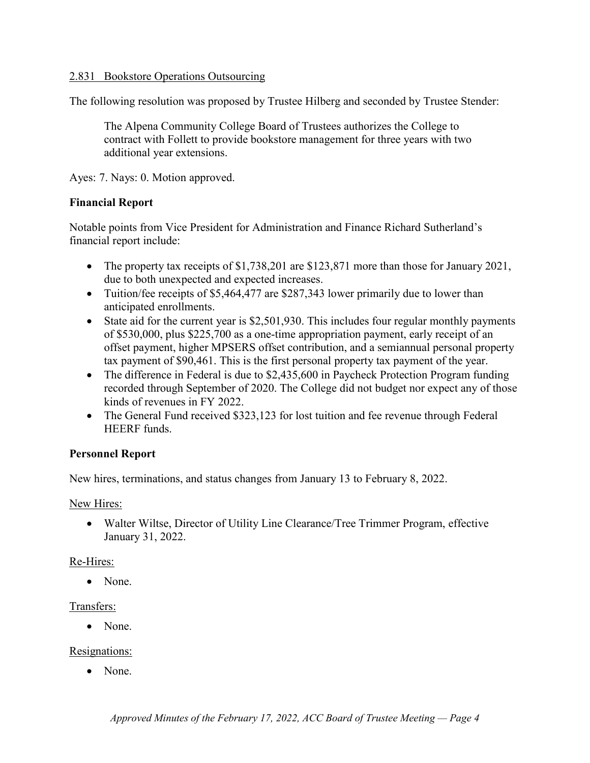#### 2.831 Bookstore Operations Outsourcing

The following resolution was proposed by Trustee Hilberg and seconded by Trustee Stender:

The Alpena Community College Board of Trustees authorizes the College to contract with Follett to provide bookstore management for three years with two additional year extensions.

Ayes: 7. Nays: 0. Motion approved.

#### **Financial Report**

Notable points from Vice President for Administration and Finance Richard Sutherland's financial report include:

- The property tax receipts of \$1,738,201 are \$123,871 more than those for January 2021, due to both unexpected and expected increases.
- Tuition/fee receipts of \$5,464,477 are \$287,343 lower primarily due to lower than anticipated enrollments.
- State aid for the current year is \$2,501,930. This includes four regular monthly payments of \$530,000, plus \$225,700 as a one-time appropriation payment, early receipt of an offset payment, higher MPSERS offset contribution, and a semiannual personal property tax payment of \$90,461. This is the first personal property tax payment of the year.
- The difference in Federal is due to \$2,435,600 in Paycheck Protection Program funding recorded through September of 2020. The College did not budget nor expect any of those kinds of revenues in FY 2022.
- The General Fund received \$323,123 for lost tuition and fee revenue through Federal HEERF funds.

### **Personnel Report**

New hires, terminations, and status changes from January 13 to February 8, 2022.

New Hires:

• Walter Wiltse, Director of Utility Line Clearance/Tree Trimmer Program, effective January 31, 2022.

### Re-Hires:

• None.

#### Transfers:

• None.

#### Resignations:

• None.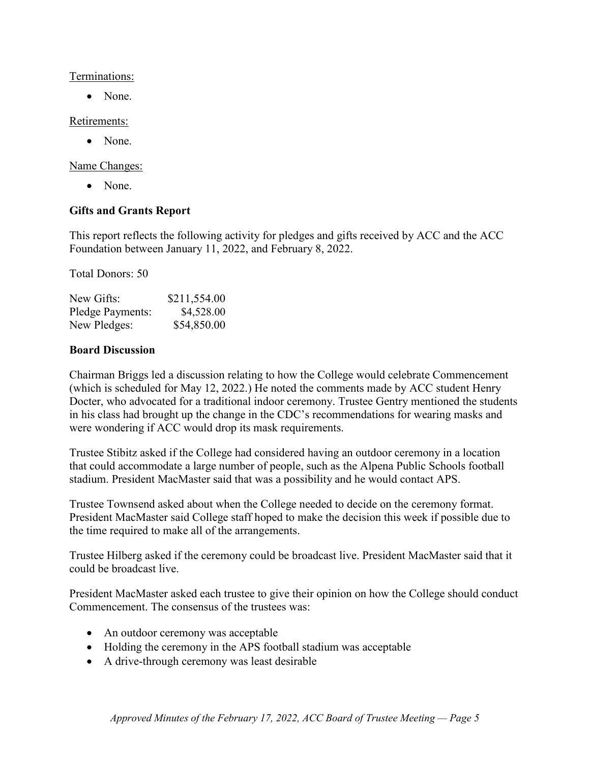#### Terminations:

• None.

## Retirements:

• None.

Name Changes:

• None.

# **Gifts and Grants Report**

This report reflects the following activity for pledges and gifts received by ACC and the ACC Foundation between January 11, 2022, and February 8, 2022.

Total Donors: 50

| New Gifts:       | \$211,554.00 |
|------------------|--------------|
| Pledge Payments: | \$4,528.00   |
| New Pledges:     | \$54,850.00  |

# **Board Discussion**

Chairman Briggs led a discussion relating to how the College would celebrate Commencement (which is scheduled for May 12, 2022.) He noted the comments made by ACC student Henry Docter, who advocated for a traditional indoor ceremony. Trustee Gentry mentioned the students in his class had brought up the change in the CDC's recommendations for wearing masks and were wondering if ACC would drop its mask requirements.

Trustee Stibitz asked if the College had considered having an outdoor ceremony in a location that could accommodate a large number of people, such as the Alpena Public Schools football stadium. President MacMaster said that was a possibility and he would contact APS.

Trustee Townsend asked about when the College needed to decide on the ceremony format. President MacMaster said College staff hoped to make the decision this week if possible due to the time required to make all of the arrangements.

Trustee Hilberg asked if the ceremony could be broadcast live. President MacMaster said that it could be broadcast live.

President MacMaster asked each trustee to give their opinion on how the College should conduct Commencement. The consensus of the trustees was:

- An outdoor ceremony was acceptable
- Holding the ceremony in the APS football stadium was acceptable
- A drive-through ceremony was least desirable